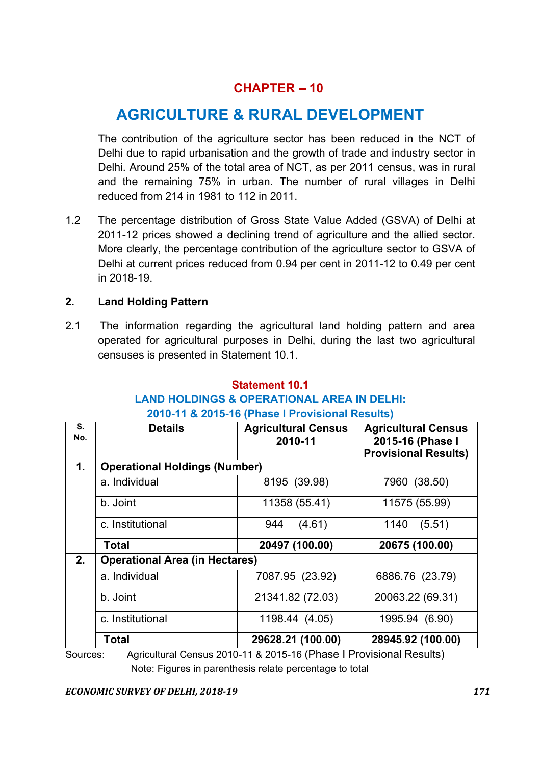# $CHAPTER - 10$

# AGRICULTURE & RURAL DEVELOPMENT

The contribution of the agriculture sector has been reduced in the NCT of Delhi due to rapid urbanisation and the growth of trade and industry sector in Delhi. Around 25% of the total area of NCT, as per 2011 census, was in rural and the remaining 75% in urban. The number of rural villages in Delhi reduced from 214 in 1981 to 112 in 2011.

1.2 The percentage distribution of Gross State Value Added (GSVA) of Delhi at 2011-12 prices showed a declining trend of agriculture and the allied sector. More clearly, the percentage contribution of the agriculture sector to GSVA of Delhi at current prices reduced from 0.94 per cent in 2011-12 to 0.49 per cent in 2018-19.

## 2. Land Holding Pattern

2.1 The information regarding the agricultural land holding pattern and area operated for agricultural purposes in Delhi, during the last two agricultural censuses is presented in Statement 10.1.

# Statement 10.1

# LAND HOLDINGS & OPERATIONAL AREA IN DELHI:

#### 2010-11 & 2015-16 (Phase I Provisional Results)

| S.<br>No. | <b>Details</b>                        | <b>Agricultural Census</b><br>2010-11 | <b>Agricultural Census</b><br>2015-16 (Phase I<br><b>Provisional Results)</b> |
|-----------|---------------------------------------|---------------------------------------|-------------------------------------------------------------------------------|
| 1.        | <b>Operational Holdings (Number)</b>  |                                       |                                                                               |
|           | a. Individual                         | 8195 (39.98)                          | 7960 (38.50)                                                                  |
|           | b. Joint                              | 11358 (55.41)                         | 11575 (55.99)                                                                 |
|           | c. Institutional                      | 944<br>(4.61)                         | 1140<br>(5.51)                                                                |
|           | <b>Total</b>                          | 20497 (100.00)                        | 20675 (100.00)                                                                |
| 2.        | <b>Operational Area (in Hectares)</b> |                                       |                                                                               |
|           | a. Individual                         | 7087.95 (23.92)                       | 6886.76 (23.79)                                                               |
|           | b. Joint                              | 21341.82 (72.03)                      | 20063.22 (69.31)                                                              |
|           | c. Institutional                      | 1198.44 (4.05)                        | 1995.94 (6.90)                                                                |
|           | <b>Total</b>                          | 29628.21 (100.00)                     | 28945.92 (100.00)                                                             |

Sources: Agricultural Census 2010-11 & 2015-16 (Phase I Provisional Results) Note: Figures in parenthesis relate percentage to total

*ECONOMIC SURVEY OF DELHI, 2018-19 171*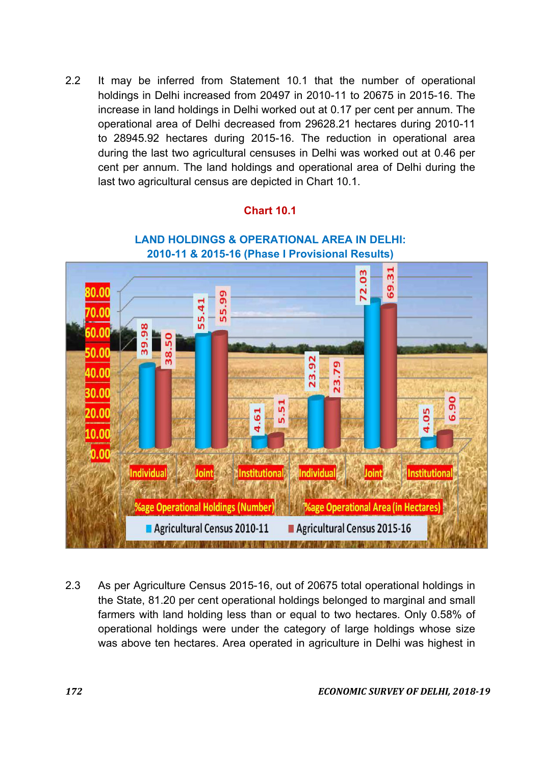2.2 It may be inferred from Statement 10.1 that the number of operational holdings in Delhi increased from 20497 in 2010-11 to 20675 in 2015-16. The increase in land holdings in Delhi worked out at 0.17 per cent per annum. The operational area of Delhi decreased from 29628.21 hectares during 2010-11 to 28945.92 hectares during 2015-16. The reduction in operational area during the last two agricultural censuses in Delhi was worked out at 0.46 per cent per annum. The land holdings and operational area of Delhi during the last two agricultural census are depicted in Chart 10.1.

## Chart 10.1



## LAND HOLDINGS & OPERATIONAL AREA IN DELHI: 2010-11 & 2015-16 (Phase I Provisional Results)

2.3 As per Agriculture Census 2015-16, out of 20675 total operational holdings in the State, 81.20 per cent operational holdings belonged to marginal and small farmers with land holding less than or equal to two hectares. Only 0.58% of operational holdings were under the category of large holdings whose size was above ten hectares. Area operated in agriculture in Delhi was highest in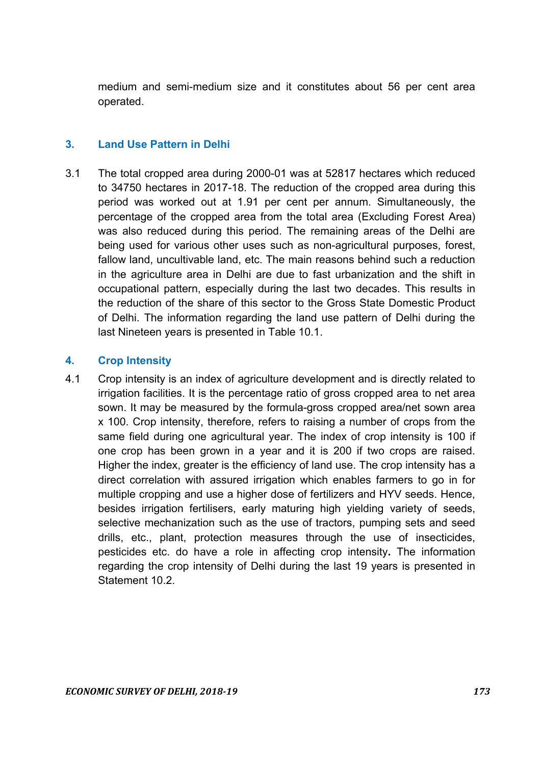medium and semi-medium size and it constitutes about 56 per cent area operated.

#### 3. Land Use Pattern in Delhi

3.1 The total cropped area during 2000-01 was at 52817 hectares which reduced to 34750 hectares in 2017-18. The reduction of the cropped area during this period was worked out at 1.91 per cent per annum. Simultaneously, the percentage of the cropped area from the total area (Excluding Forest Area) was also reduced during this period. The remaining areas of the Delhi are being used for various other uses such as non-agricultural purposes, forest, fallow land, uncultivable land, etc. The main reasons behind such a reduction in the agriculture area in Delhi are due to fast urbanization and the shift in occupational pattern, especially during the last two decades. This results in the reduction of the share of this sector to the Gross State Domestic Product of Delhi. The information regarding the land use pattern of Delhi during the last Nineteen years is presented in Table 10.1.

#### 4. Crop Intensity

4.1 Crop intensity is an index of agriculture development and is directly related to irrigation facilities. It is the percentage ratio of gross cropped area to net area sown. It may be measured by the formula-gross cropped area/net sown area x 100. Crop intensity, therefore, refers to raising a number of crops from the same field during one agricultural year. The index of crop intensity is 100 if one crop has been grown in a year and it is 200 if two crops are raised. Higher the index, greater is the efficiency of land use. The crop intensity has a direct correlation with assured irrigation which enables farmers to go in for multiple cropping and use a higher dose of fertilizers and HYV seeds. Hence, besides irrigation fertilisers, early maturing high yielding variety of seeds, selective mechanization such as the use of tractors, pumping sets and seed drills, etc., plant, protection measures through the use of insecticides, pesticides etc. do have a role in affecting crop intensity. The information regarding the crop intensity of Delhi during the last 19 years is presented in Statement 10.2.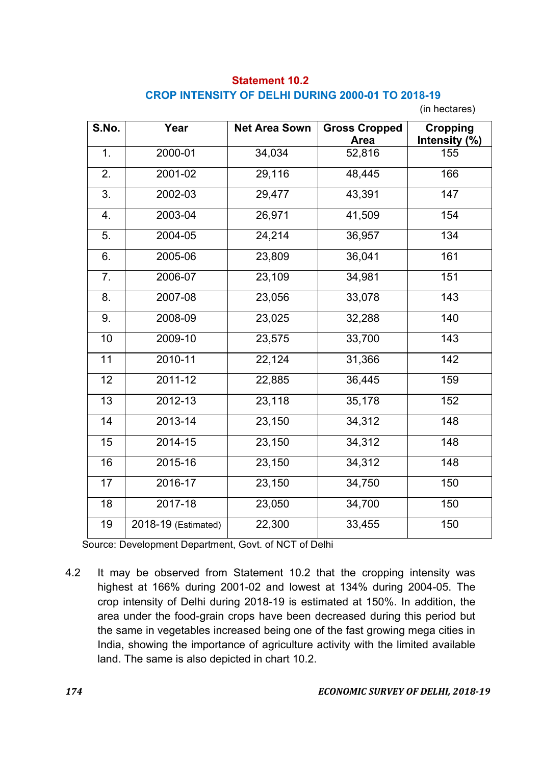# Statement 10.2 CROP INTENSITY OF DELHI DURING 2000-01 TO 2018-19

(in hectares)

| S.No. | Year                | <b>Net Area Sown</b> | <b>Gross Cropped</b><br>Area | <b>Cropping</b><br>Intensity (%) |
|-------|---------------------|----------------------|------------------------------|----------------------------------|
| 1.    | 2000-01             | 34,034               | 52,816                       | 155                              |
| 2.    | 2001-02             | 29,116               | 48,445                       | 166                              |
| 3.    | 2002-03             | 29,477               | 43,391                       | 147                              |
| 4.    | 2003-04             | 26,971               | 41,509                       | 154                              |
| 5.    | 2004-05             | 24,214               | 36,957                       | 134                              |
| 6.    | 2005-06             | 23,809               | 36,041                       | 161                              |
| 7.    | 2006-07             | 23,109               | 34,981                       | 151                              |
| 8.    | 2007-08             | 23,056               | 33,078                       | 143                              |
| 9.    | 2008-09             | 23,025               | 32,288                       | $\overline{140}$                 |
| 10    | 2009-10             | 23,575               | 33,700                       | 143                              |
| 11    | 2010-11             | 22,124               | 31,366                       | 142                              |
| 12    | 2011-12             | 22,885               | 36,445                       | 159                              |
| 13    | 2012-13             | 23,118               | 35,178                       | 152                              |
| 14    | 2013-14             | 23,150               | 34,312                       | 148                              |
| 15    | 2014-15             | 23,150               | 34,312                       | 148                              |
| 16    | 2015-16             | 23,150               | 34,312                       | 148                              |
| 17    | 2016-17             | 23,150               | 34,750                       | 150                              |
| 18    | 2017-18             | 23,050               | 34,700                       | 150                              |
| 19    | 2018-19 (Estimated) | 22,300               | 33,455                       | 150                              |

Source: Development Department, Govt. of NCT of Delhi

4.2 It may be observed from Statement 10.2 that the cropping intensity was highest at 166% during 2001-02 and lowest at 134% during 2004-05. The crop intensity of Delhi during 2018-19 is estimated at 150%. In addition, the area under the food-grain crops have been decreased during this period but the same in vegetables increased being one of the fast growing mega cities in India, showing the importance of agriculture activity with the limited available land. The same is also depicted in chart 10.2.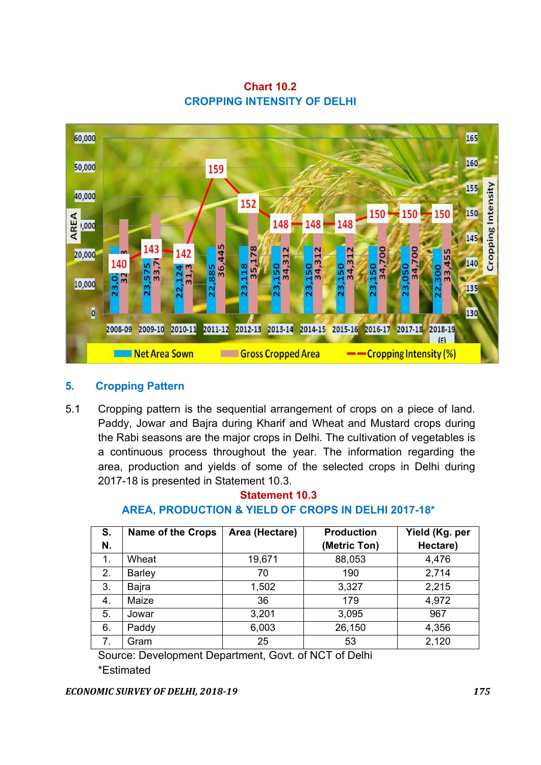Chart 10.2 CROPPING INTENSITY OF DELHI



#### 5. Cropping Pattern

5.1 Cropping pattern is the sequential arrangement of crops on a piece of land. Paddy, Jowar and Bajra during Kharif and Wheat and Mustard crops during the Rabi seasons are the major crops in Delhi. The cultivation of vegetables is a continuous process throughout the year. The information regarding the area, production and yields of some of the selected crops in Delhi during 2017-18 is presented in Statement 10.3.

| S.<br>N. | <b>Name of the Crops</b> | Area (Hectare) | <b>Production</b><br>(Metric Ton) | Yield (Kg. per<br>Hectare) |
|----------|--------------------------|----------------|-----------------------------------|----------------------------|
| 1.       | Wheat                    | 19,671         | 88,053                            | 4,476                      |
| 2.       | <b>Barley</b>            | 70             | 190                               | 2,714                      |
| 3.       | Bajra                    | 1,502          | 3,327                             | 2,215                      |
| 4.       | Maize                    | 36             | 179                               | 4,972                      |
| 5.       | Jowar                    | 3,201          | 3,095                             | 967                        |
| 6.       | Paddy                    | 6,003          | 26,150                            | 4,356                      |
| 7.       | Gram                     | 25             | 53                                | 2,120                      |

## Statement 10.3 AREA, PRODUCTION & YIELD OF CROPS IN DELHI 2017-18\*

Source: Development Department, Govt. of NCT of Delhi \*Estimated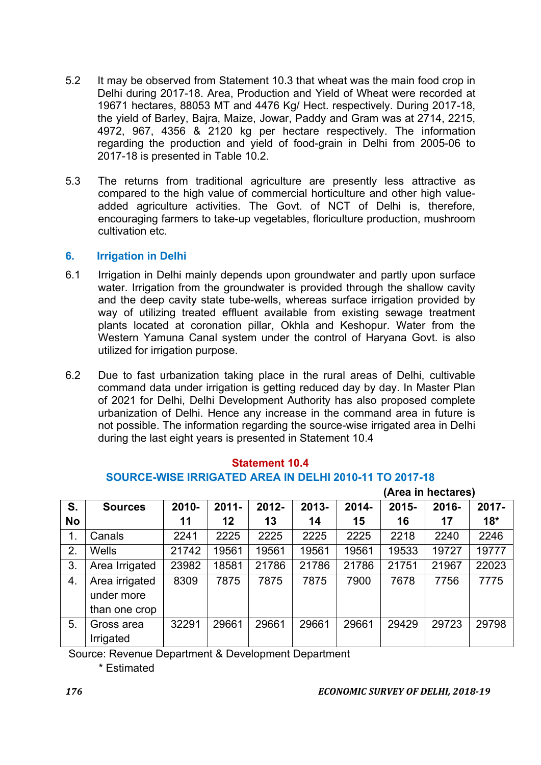- 5.2 It may be observed from Statement 10.3 that wheat was the main food crop in Delhi during 2017-18. Area, Production and Yield of Wheat were recorded at 19671 hectares, 88053 MT and 4476 Kg/ Hect. respectively. During 2017-18, the yield of Barley, Bajra, Maize, Jowar, Paddy and Gram was at 2714, 2215, 4972, 967, 4356 & 2120 kg per hectare respectively. The information regarding the production and yield of food-grain in Delhi from 2005-06 to 2017-18 is presented in Table 10.2.
- 5.3 The returns from traditional agriculture are presently less attractive as compared to the high value of commercial horticulture and other high valueadded agriculture activities. The Govt. of NCT of Delhi is, therefore, encouraging farmers to take-up vegetables, floriculture production, mushroom cultivation etc.

#### 6. Irrigation in Delhi

- 6.1 Irrigation in Delhi mainly depends upon groundwater and partly upon surface water. Irrigation from the groundwater is provided through the shallow cavity and the deep cavity state tube-wells, whereas surface irrigation provided by way of utilizing treated effluent available from existing sewage treatment plants located at coronation pillar, Okhla and Keshopur. Water from the Western Yamuna Canal system under the control of Haryana Govt. is also utilized for irrigation purpose.
- 6.2 Due to fast urbanization taking place in the rural areas of Delhi, cultivable command data under irrigation is getting reduced day by day. In Master Plan of 2021 for Delhi, Delhi Development Authority has also proposed complete urbanization of Delhi. Hence any increase in the command area in future is not possible. The information regarding the source-wise irrigated area in Delhi during the last eight years is presented in Statement 10.4

| <b>Statement 10.4</b>                                  |
|--------------------------------------------------------|
| SOURCE-WISE IRRIGATED AREA IN DELHI 2010-11 TO 2017-18 |
| $(\Delta$ rea in hectares)                             |

| S.        | <b>Sources</b>                                | 2010- | $2011 -$ | $2012 -$ | 2013- | $2014 -$ | $2015 -$ | 2016- | $2017 -$ |
|-----------|-----------------------------------------------|-------|----------|----------|-------|----------|----------|-------|----------|
| <b>No</b> |                                               | 11    | 12       | 13       | 14    | 15       | 16       | 17    | $18*$    |
| 1.        | Canals                                        | 2241  | 2225     | 2225     | 2225  | 2225     | 2218     | 2240  | 2246     |
| 2.        | <b>Wells</b>                                  | 21742 | 19561    | 19561    | 19561 | 19561    | 19533    | 19727 | 19777    |
| 3.        | Area Irrigated                                | 23982 | 18581    | 21786    | 21786 | 21786    | 21751    | 21967 | 22023    |
| 4.        | Area irrigated<br>under more<br>than one crop | 8309  | 7875     | 7875     | 7875  | 7900     | 7678     | 7756  | 7775     |
| 5.        | Gross area<br>Irrigated                       | 32291 | 29661    | 29661    | 29661 | 29661    | 29429    | 29723 | 29798    |

Source: Revenue Department & Development Department

\* Estimated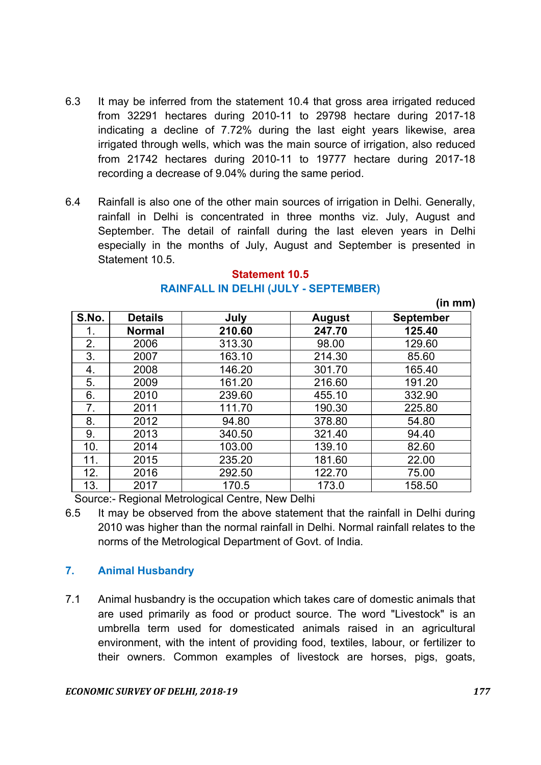- 6.3 It may be inferred from the statement 10.4 that gross area irrigated reduced from 32291 hectares during 2010-11 to 29798 hectare during 2017-18 indicating a decline of 7.72% during the last eight years likewise, area irrigated through wells, which was the main source of irrigation, also reduced from 21742 hectares during 2010-11 to 19777 hectare during 2017-18 recording a decrease of 9.04% during the same period.
- 6.4 Rainfall is also one of the other main sources of irrigation in Delhi. Generally, rainfall in Delhi is concentrated in three months viz. July, August and September. The detail of rainfall during the last eleven years in Delhi especially in the months of July, August and September is presented in Statement 10.5.

|       |                |        |               | , , , , , , , , , , |
|-------|----------------|--------|---------------|---------------------|
| S.No. | <b>Details</b> | July   | <b>August</b> | <b>September</b>    |
|       | <b>Normal</b>  | 210.60 | 247.70        | 125.40              |
| 2.    | 2006           | 313.30 | 98.00         | 129.60              |
| 3.    | 2007           | 163.10 | 214.30        | 85.60               |
| 4.    | 2008           | 146.20 | 301.70        | 165.40              |
| 5.    | 2009           | 161.20 | 216.60        | 191.20              |
| 6.    | 2010           | 239.60 | 455.10        | 332.90              |
| 7.    | 2011           | 111.70 | 190.30        | 225.80              |
| 8.    | 2012           | 94.80  | 378.80        | 54.80               |
| 9.    | 2013           | 340.50 | 321.40        | 94.40               |
| 10.   | 2014           | 103.00 | 139.10        | 82.60               |
| 11.   | 2015           | 235.20 | 181.60        | 22.00               |
| 12.   | 2016           | 292.50 | 122.70        | 75.00               |
| 13.   | 2017           | 170.5  | 173.0         | 158.50              |

#### Statement 10.5 RAINFALL IN DELHI (JULY - SEPTEMBER)

(in mm)

Source:- Regional Metrological Centre, New Delhi

6.5 It may be observed from the above statement that the rainfall in Delhi during 2010 was higher than the normal rainfall in Delhi. Normal rainfall relates to the norms of the Metrological Department of Govt. of India.

#### 7. Animal Husbandry

7.1 Animal husbandry is the occupation which takes care of domestic animals that are used primarily as food or product source. The word "Livestock" is an umbrella term used for domesticated animals raised in an agricultural environment, with the intent of providing food, textiles, labour, or fertilizer to their owners. Common examples of livestock are horses, pigs, goats,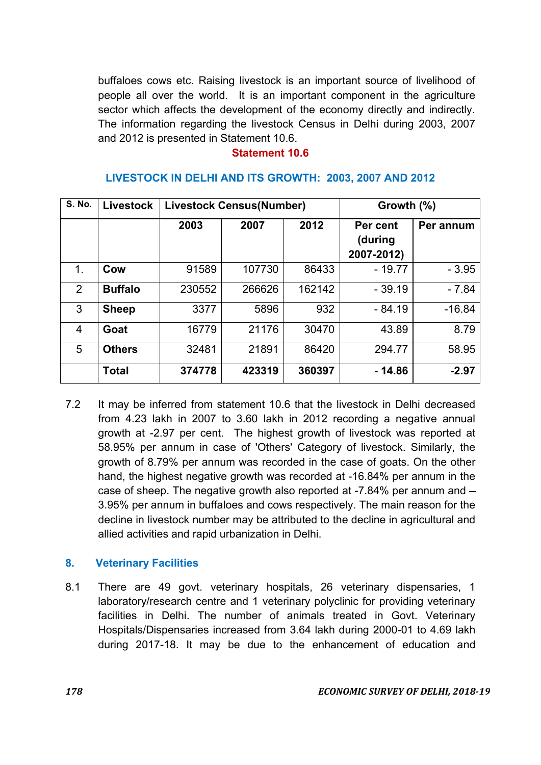buffaloes cows etc. Raising livestock is an important source of livelihood of people all over the world. It is an important component in the agriculture sector which affects the development of the economy directly and indirectly. The information regarding the livestock Census in Delhi during 2003, 2007 and 2012 is presented in Statement 10.6.

#### Statement 10.6

| <b>S. No.</b>  | <b>Livestock</b> | <b>Livestock Census(Number)</b> |        |        | Growth $(\%)$                     |           |
|----------------|------------------|---------------------------------|--------|--------|-----------------------------------|-----------|
|                |                  | 2003                            | 2007   | 2012   | Per cent<br>(during<br>2007-2012) | Per annum |
| 1.             | Cow              | 91589                           | 107730 | 86433  | $-19.77$                          | $-3.95$   |
| $\overline{2}$ | <b>Buffalo</b>   | 230552                          | 266626 | 162142 | $-39.19$                          | $-7.84$   |
| 3              | <b>Sheep</b>     | 3377                            | 5896   | 932    | $-84.19$                          | $-16.84$  |
| 4              | Goat             | 16779                           | 21176  | 30470  | 43.89                             | 8.79      |
| 5              | <b>Others</b>    | 32481                           | 21891  | 86420  | 294.77                            | 58.95     |
|                | <b>Total</b>     | 374778                          | 423319 | 360397 | $-14.86$                          | $-2.97$   |

#### LIVESTOCK IN DELHI AND ITS GROWTH: 2003, 2007 AND 2012

7.2 It may be inferred from statement 10.6 that the livestock in Delhi decreased from 4.23 lakh in 2007 to 3.60 lakh in 2012 recording a negative annual growth at -2.97 per cent. The highest growth of livestock was reported at 58.95% per annum in case of 'Others' Category of livestock. Similarly, the growth of 8.79% per annum was recorded in the case of goats. On the other hand, the highest negative growth was recorded at -16.84% per annum in the case of sheep. The negative growth also reported at -7.84% per annum and 3.95% per annum in buffaloes and cows respectively. The main reason for the decline in livestock number may be attributed to the decline in agricultural and allied activities and rapid urbanization in Delhi.

#### 8. Veterinary Facilities

8.1 There are 49 govt. veterinary hospitals, 26 veterinary dispensaries, 1 laboratory/research centre and 1 veterinary polyclinic for providing veterinary facilities in Delhi. The number of animals treated in Govt. Veterinary Hospitals/Dispensaries increased from 3.64 lakh during 2000-01 to 4.69 lakh during 2017-18. It may be due to the enhancement of education and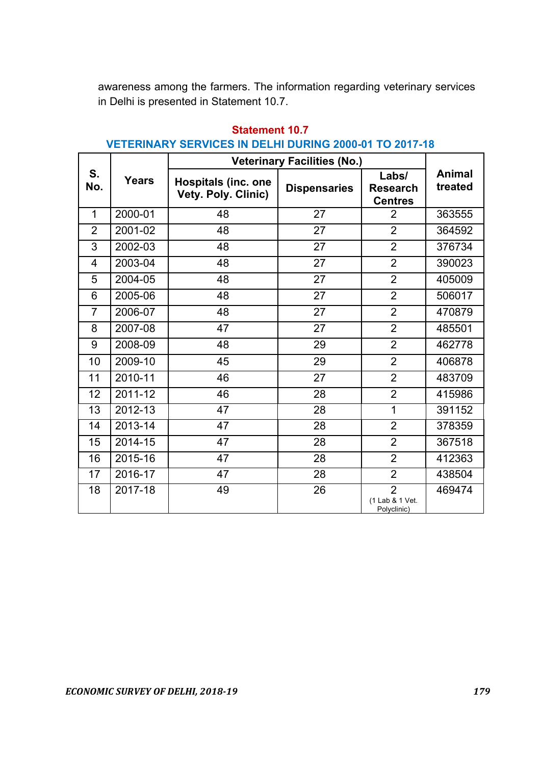awareness among the farmers. The information regarding veterinary services in Delhi is presented in Statement 10.7.

|                |              | <b>Veterinary Facilities (No.)</b>                       |                     |                                                  |                          |  |
|----------------|--------------|----------------------------------------------------------|---------------------|--------------------------------------------------|--------------------------|--|
| S.<br>No.      | <b>Years</b> | <b>Hospitals (inc. one</b><br><b>Vety. Poly. Clinic)</b> | <b>Dispensaries</b> | Labs/<br><b>Research</b><br><b>Centres</b>       | <b>Animal</b><br>treated |  |
| $\mathbf{1}$   | 2000-01      | 48                                                       | 27                  | $\overline{2}$                                   | 363555                   |  |
| $\overline{2}$ | 2001-02      | 48                                                       | 27                  | $\overline{2}$                                   | 364592                   |  |
| 3              | 2002-03      | 48                                                       | 27                  | $\overline{2}$                                   | 376734                   |  |
| $\overline{4}$ | 2003-04      | 48                                                       | 27                  | $\overline{2}$                                   | 390023                   |  |
| 5              | 2004-05      | 48                                                       | 27                  | $\overline{2}$                                   | 405009                   |  |
| 6              | 2005-06      | 48                                                       | 27                  | $\overline{2}$                                   | 506017                   |  |
| $\overline{7}$ | 2006-07      | 48                                                       | 27                  | $\overline{2}$                                   | 470879                   |  |
| 8              | 2007-08      | 47                                                       | 27                  | $\overline{2}$                                   | 485501                   |  |
| 9              | 2008-09      | 48                                                       | 29                  | $\overline{2}$                                   | 462778                   |  |
| 10             | 2009-10      | 45                                                       | 29                  | $\overline{2}$                                   | 406878                   |  |
| 11             | 2010-11      | 46                                                       | 27                  | $\overline{2}$                                   | 483709                   |  |
| 12             | 2011-12      | 46                                                       | 28                  | $\overline{2}$                                   | 415986                   |  |
| 13             | 2012-13      | 47                                                       | 28                  | 1                                                | 391152                   |  |
| 14             | 2013-14      | 47                                                       | 28                  | $\overline{2}$                                   | 378359                   |  |
| 15             | 2014-15      | 47                                                       | 28                  | $\overline{2}$                                   | 367518                   |  |
| 16             | 2015-16      | 47                                                       | 28                  | $\overline{2}$                                   | 412363                   |  |
| 17             | 2016-17      | 47                                                       | 28                  | $\overline{2}$                                   | 438504                   |  |
| 18             | 2017-18      | 49                                                       | 26                  | $\overline{2}$<br>(1 Lab & 1 Vet.<br>Polyclinic) | 469474                   |  |

# Statement 10.7 VETERINARY SERVICES IN DELHI DURING 2000-01 TO 2017-18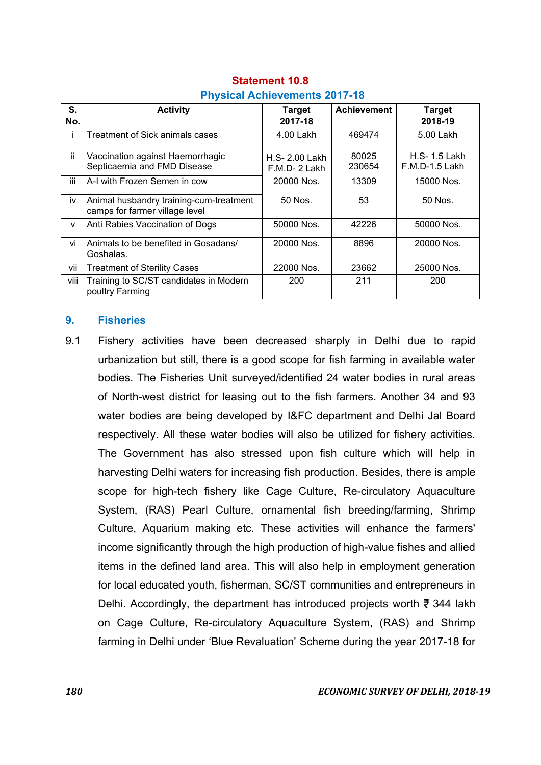| S.   | <b>Activity</b>                                                           | <b>Target</b>                  | <b>Achievement</b> | <b>Target</b>                      |  |  |
|------|---------------------------------------------------------------------------|--------------------------------|--------------------|------------------------------------|--|--|
| No.  |                                                                           | 2017-18                        |                    | 2018-19                            |  |  |
|      | <b>Treatment of Sick animals cases</b>                                    | 4.00 Lakh                      | 469474             | 5.00 Lakh                          |  |  |
| ii.  | Vaccination against Haemorrhagic<br>Septicaemia and FMD Disease           | H.S- 2.00 Lakh<br>F.M.D-2 Lakh | 80025<br>230654    | $H.S-1.5$ Lakh<br>$F.M.D-1.5$ Lakh |  |  |
| iii  | A-I with Frozen Semen in cow                                              | 20000 Nos.                     | 13309              | 15000 Nos.                         |  |  |
| iv   | Animal husbandry training-cum-treatment<br>camps for farmer village level | 50 Nos.                        | 53                 | 50 Nos.                            |  |  |
| v    | Anti Rabies Vaccination of Dogs                                           | 50000 Nos.                     | 42226              | 50000 Nos.                         |  |  |
| vi   | Animals to be benefited in Gosadans/<br>Goshalas.                         | 20000 Nos.                     | 8896               | 20000 Nos.                         |  |  |
| vii  | <b>Treatment of Sterility Cases</b>                                       | 22000 Nos.                     | 23662              | 25000 Nos.                         |  |  |
| viii | Training to SC/ST candidates in Modern<br>poultry Farming                 | 200                            | 211                | 200                                |  |  |

#### Statement 10.8 Physical Achievements 2017-18

#### 9. Fisheries

9.1 Fishery activities have been decreased sharply in Delhi due to rapid urbanization but still, there is a good scope for fish farming in available water bodies. The Fisheries Unit surveyed/identified 24 water bodies in rural areas of North-west district for leasing out to the fish farmers. Another 34 and 93 water bodies are being developed by I&FC department and Delhi Jal Board respectively. All these water bodies will also be utilized for fishery activities. The Government has also stressed upon fish culture which will help in harvesting Delhi waters for increasing fish production. Besides, there is ample scope for high-tech fishery like Cage Culture, Re-circulatory Aquaculture System, (RAS) Pearl Culture, ornamental fish breeding/farming, Shrimp Culture, Aquarium making etc. These activities will enhance the farmers' income significantly through the high production of high-value fishes and allied items in the defined land area. This will also help in employment generation for local educated youth, fisherman, SC/ST communities and entrepreneurs in Delhi. Accordingly, the department has introduced projects worth  $\overline{z}$  344 lakh on Cage Culture, Re-circulatory Aquaculture System, (RAS) and Shrimp farming in Delhi under 'Blue Revaluation' Scheme during the year 2017-18 for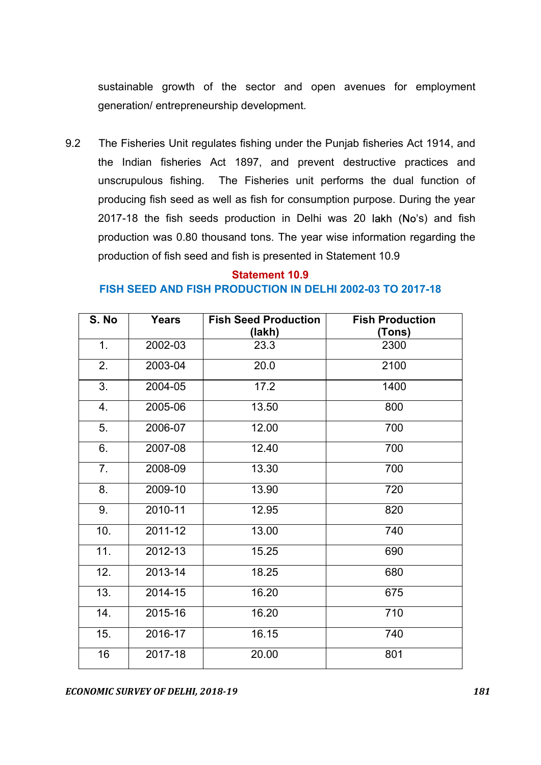sustainable growth of the sector and open avenues for employment generation/ entrepreneurship development.

9.2 The Fisheries Unit regulates fishing under the Punjab fisheries Act 1914, and the Indian fisheries Act 1897, and prevent destructive practices and unscrupulous fishing. The Fisheries unit performs the dual function of producing fish seed as well as fish for consumption purpose. During the year  $2017-18$  the fish seeds production in Delhi was 20 lakh (No's) and fish production was 0.80 thousand tons. The year wise information regarding the production of fish seed and fish is presented in Statement 10.9

### Statement 10.9 FISH SEED AND FISH PRODUCTION IN DELHI 2002-03 TO 2017-18

| S. No | <b>Years</b> | <b>Fish Seed Production</b> | <b>Fish Production</b> |
|-------|--------------|-----------------------------|------------------------|
|       |              | (lakh)                      | (Tons)                 |
| 1.    | 2002-03      | 23.3                        | 2300                   |
| 2.    | 2003-04      | 20.0                        | 2100                   |
| 3.    | 2004-05      | 17.2                        | 1400                   |
| 4.    | 2005-06      | 13.50                       | 800                    |
| 5.    | 2006-07      | 12.00                       | 700                    |
| 6.    | 2007-08      | 12.40                       | 700                    |
| 7.    | 2008-09      | 13.30                       | 700                    |
| 8.    | 2009-10      | 13.90                       | 720                    |
| 9.    | 2010-11      | 12.95                       | 820                    |
| 10.   | 2011-12      | 13.00                       | 740                    |
| 11.   | 2012-13      | 15.25                       | 690                    |
| 12.   | 2013-14      | 18.25                       | 680                    |
| 13.   | 2014-15      | 16.20                       | 675                    |
| 14.   | 2015-16      | 16.20                       | 710                    |
| 15.   | 2016-17      | 16.15                       | 740                    |
| 16    | 2017-18      | 20.00                       | 801                    |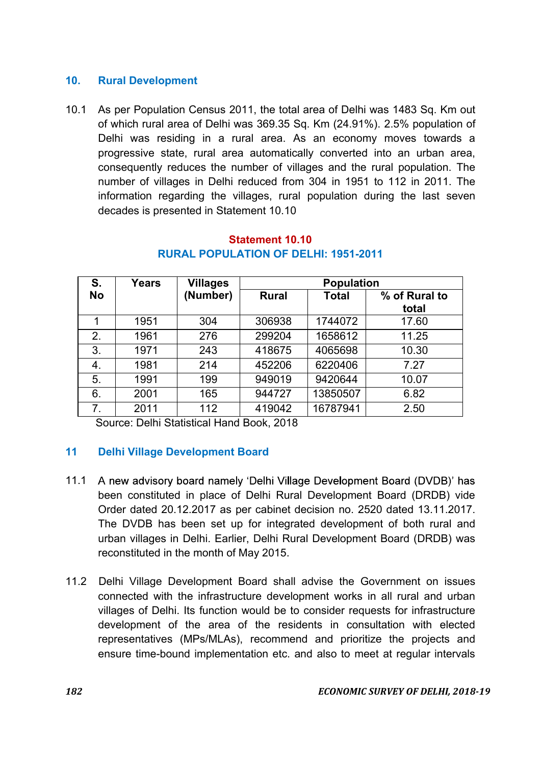### 10. Rural Development

10.1 As per Population Census 2011, the total area of Delhi was 1483 Sq. Km out of which rural area of Delhi was 369.35 Sq. Km (24.91%). 2.5% population of Delhi was residing in a rural area. As an economy moves towards a progressive state, rural area automatically converted into an urban area, consequently reduces the number of villages and the rural population. The number of villages in Delhi reduced from 304 in 1951 to 112 in 2011. The information regarding the villages, rural population during the last seven decades is presented in Statement 10.10

| S.        | Years | <b>Villages</b> | <b>Population</b> |          |                        |  |
|-----------|-------|-----------------|-------------------|----------|------------------------|--|
| <b>No</b> |       | (Number)        | <b>Rural</b>      | Total    | % of Rural to<br>total |  |
| 1         | 1951  | 304             | 306938            | 1744072  | 17.60                  |  |
| 2.        | 1961  | 276             | 299204            | 1658612  | 11.25                  |  |
| 3.        | 1971  | 243             | 418675            | 4065698  | 10.30                  |  |
| 4.        | 1981  | 214             | 452206            | 6220406  | 7.27                   |  |
| 5.        | 1991  | 199             | 949019            | 9420644  | 10.07                  |  |
| 6.        | 2001  | 165             | 944727            | 13850507 | 6.82                   |  |
| 7.        | 2011  | 112             | 419042            | 16787941 | 2.50                   |  |

#### Statement 10.10 RURAL POPULATION OF DELHI: 1951-2011

Source: Delhi Statistical Hand Book, 2018

#### 11 Delhi Village Development Board

- A new advisory board namely 'Delhi Village Development Board (DVDB)' has 11.1 been constituted in place of Delhi Rural Development Board (DRDB) vide Order dated 20.12.2017 as per cabinet decision no. 2520 dated 13.11.2017. The DVDB has been set up for integrated development of both rural and urban villages in Delhi. Earlier, Delhi Rural Development Board (DRDB) was reconstituted in the month of May 2015.
- 11.2 Delhi Village Development Board shall advise the Government on issues connected with the infrastructure development works in all rural and urban villages of Delhi. Its function would be to consider requests for infrastructure development of the area of the residents in consultation with elected representatives (MPs/MLAs), recommend and prioritize the projects and ensure time-bound implementation etc. and also to meet at regular intervals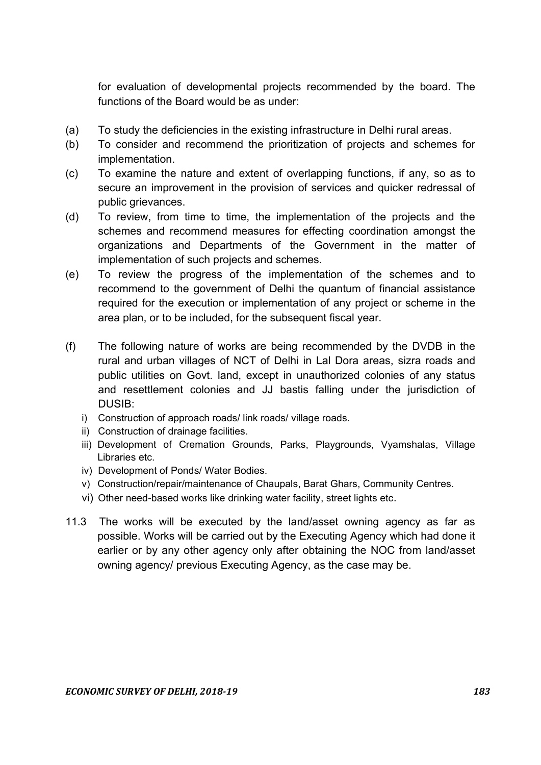for evaluation of developmental projects recommended by the board. The functions of the Board would be as under:

- (a) To study the deficiencies in the existing infrastructure in Delhi rural areas.
- (b) To consider and recommend the prioritization of projects and schemes for implementation.
- (c) To examine the nature and extent of overlapping functions, if any, so as to secure an improvement in the provision of services and quicker redressal of public grievances.
- (d) To review, from time to time, the implementation of the projects and the schemes and recommend measures for effecting coordination amongst the organizations and Departments of the Government in the matter of implementation of such projects and schemes.
- (e) To review the progress of the implementation of the schemes and to recommend to the government of Delhi the quantum of financial assistance required for the execution or implementation of any project or scheme in the area plan, or to be included, for the subsequent fiscal year.
- (f) The following nature of works are being recommended by the DVDB in the rural and urban villages of NCT of Delhi in Lal Dora areas, sizra roads and public utilities on Govt. land, except in unauthorized colonies of any status and resettlement colonies and JJ bastis falling under the jurisdiction of DUSIB:
	- i) Construction of approach roads/ link roads/ village roads.
	- ii) Construction of drainage facilities.
	- iii) Development of Cremation Grounds, Parks, Playgrounds, Vyamshalas, Village Libraries etc.
	- iv) Development of Ponds/ Water Bodies.
	- v) Construction/repair/maintenance of Chaupals, Barat Ghars, Community Centres.
	- vi) Other need-based works like drinking water facility, street lights etc.
- 11.3 The works will be executed by the land/asset owning agency as far as possible. Works will be carried out by the Executing Agency which had done it earlier or by any other agency only after obtaining the NOC from land/asset owning agency/ previous Executing Agency, as the case may be.